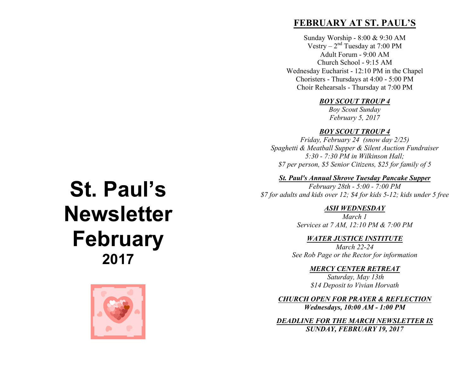# **FEBRUARY AT ST. PAUL'S**

Sunday Worship - 8:00 & 9:30 AM Vestry –  $2<sup>nd</sup>$  Tuesday at 7:00 PM Adult Forum - 9:00 AM Church School - 9:15 AM Wednesday Eucharist - 12:10 PM in the Chapel Choristers - Thursdays at 4:00 - 5:00 PM Choir Rehearsals - Thursday at 7:00 PM

#### *BOY SCOUT TROUP 4*

*Boy Scout Sunday February 5, 2017*

#### *BOY SCOUT TROUP 4*

*Friday, February 24 (snow day 2/25) Spaghetti & Meatball Supper & Silent Auction Fundraiser 5:30 - 7:30 PM in Wilkinson Hall; \$7 per person, \$5 Senior Citizens, \$25 for family of 5*

*St. Paul's Annual Shrove Tuesday Pancake Supper*

*February 28th - 5:00 - 7:00 PM \$7 for adults and kids over 12; \$4 for kids 5-12; kids under 5 free*

#### *ASH WEDNESDAY*

*March 1 Services at 7 AM, 12:10 PM & 7:00 PM*

#### *WATER JUSTICE INSTITUTE*

*March 22-24 See Rob Page or the Rector for information*

*MERCY CENTER RETREAT*

*Saturday, May 13th \$14 Deposit to Vivian Horvath*

*CHURCH OPEN FOR PRAYER & REFLECTION Wednesdays, 10:00 AM - 1:00 PM*

*DEADLINE FOR THE MARCH NEWSLETTER IS SUNDAY, FEBRUARY 19, 2017*

# **St. Paul's Newsletter February 2017**

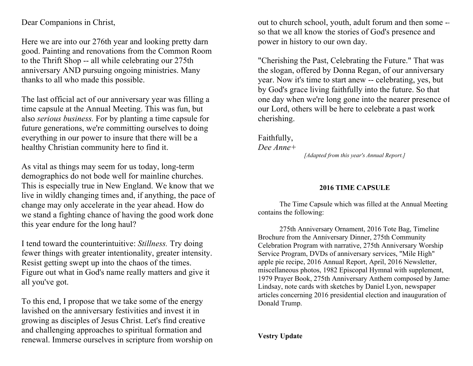Dear Companions in Christ,

Here we are into our 276th year and looking pretty darn good. Painting and renovations from the Common Room to the Thrift Shop -- all while celebrating our 275th anniversary AND pursuing ongoing ministries. Many thanks to all who made this possible.

The last official act of our anniversary year was filling a time capsule at the Annual Meeting. This was fun, but also *serious business.* For by planting a time capsule for future generations, we're committing ourselves to doing everything in our power to insure that there will be a healthy Christian community here to find it.

As vital as things may seem for us today, long-term demographics do not bode well for mainline churches. This is especially true in New England. We know that we live in wildly changing times and, if anything, the pace of change may only accelerate in the year ahead. How do we stand a fighting chance of having the good work done this year endure for the long haul?

I tend toward the counterintuitive: *Stillness.* Try doing fewer things with greater intentionality, greater intensity. Resist getting swept up into the chaos of the times. Figure out what in God's name really matters and give it all you've got.

To this end, I propose that we take some of the energy lavished on the anniversary festivities and invest it in growing as disciples of Jesus Christ. Let's find creative and challenging approaches to spiritual formation and renewal. Immerse ourselves in scripture from worship on

out to church school, youth, adult forum and then some - so that we all know the stories of God's presence and power in history to our own day.

"Cherishing the Past, Celebrating the Future." That was the slogan, offered by Donna Regan, of our anniversary year. Now it's time to start anew -- celebrating, yes, but by God's grace living faithfully into the future. So that one day when we're long gone into the nearer presence of our Lord, others will be here to celebrate a past work cherishing.

Faithfully, *Dee Anne+*

*[Adapted from this year's Annual Report.]*

# **2016 TIME CAPSULE**

The Time Capsule which was filled at the Annual Meeting contains the following:

275th Anniversary Ornament, 2016 Tote Bag, Timeline Brochure from the Anniversary Dinner, 275th Community Celebration Program with narrative, 275th Anniversary Worship Service Program, DVDs of anniversary services, "Mile High" apple pie recipe, 2016 Annual Report, April, 2016 Newsletter, miscellaneous photos, 1982 Episcopal Hymnal with supplement, 1979 Prayer Book, 275th Anniversary Anthem composed by James Lindsay, note cards with sketches by Daniel Lyon, newspaper articles concerning 2016 presidential election and inauguration of Donald Trump.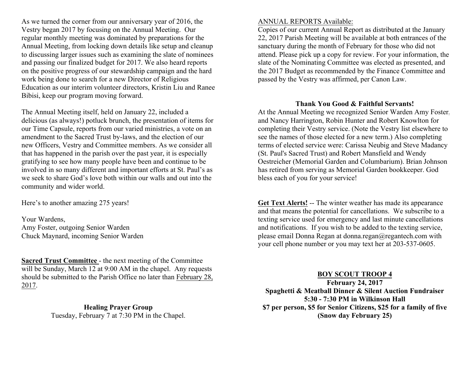As we turned the corner from our anniversary year of 2016, the Vestry began 2017 by focusing on the Annual Meeting. Our regular monthly meeting was dominated by preparations for the Annual Meeting, from locking down details like setup and cleanup to discussing larger issues such as examining the slate of nominees and passing our finalized budget for 2017. We also heard reports on the positive progress of our stewardship campaign and the hard work being done to search for a new Director of Religious Education as our interim volunteer directors, Kristin Liu and Ranee Bibisi, keep our program moving forward.

The Annual Meeting itself, held on January 22, included a delicious (as always!) potluck brunch, the presentation of items for our Time Capsule, reports from our varied ministries, a vote on an amendment to the Sacred Trust by-laws, and the election of our new Officers, Vestry and Committee members. As we consider all that has happened in the parish over the past year, it is especially gratifying to see how many people have been and continue to be involved in so many different and important efforts at St. Paul's as we seek to share God's love both within our walls and out into the community and wider world.

Here's to another amazing 275 years!

Your Wardens, Amy Foster, outgoing Senior Warden Chuck Maynard, incoming Senior Warden

**Sacred Trust Committee** - the next meeting of the Committee will be Sunday, March 12 at 9:00 AM in the chapel. Any requests should be submitted to the Parish Office no later than February 28, 2017.

> **Healing Prayer Group** Tuesday, February 7 at 7:30 PM in the Chapel.

#### ANNUAL REPORTS Available:

Copies of our current Annual Report as distributed at the January 22, 2017 Parish Meeting will be available at both entrances of the sanctuary during the month of February for those who did not attend. Please pick up a copy for review. For your information, the slate of the Nominating Committee was elected as presented, and the 2017 Budget as recommended by the Finance Committee and passed by the Vestry was affirmed, per Canon Law.

#### **Thank You Good & Faithful Servants!**

At the Annual Meeting we recognized Senior Warden Amy Foster, and Nancy Harrington, Robin Hunter and Robert Knowlton for completing their Vestry service. (Note the Vestry list elsewhere to see the names of those elected for a new term.) Also completing terms of elected service were: Carissa Neubig and Steve Madancy (St. Paul's Sacred Trust) and Robert Mansfield and Wendy Oestreicher (Memorial Garden and Columbarium). Brian Johnson has retired from serving as Memorial Garden bookkeeper. God bless each of you for your service!

**Get Text Alerts!** -- The winter weather has made its appearance and that means the potential for cancellations. We subscribe to a texting service used for emergency and last minute cancellations and notifications. If you wish to be added to the texting service, please email Donna Regan at donna.regan@regantech.com with your cell phone number or you may text her at 203-537-0605.

#### **BOY SCOUT TROOP 4**

**February 24, 2017 Spaghetti & Meatball Dinner & Silent Auction Fundraiser 5:30 - 7:30 PM in Wilkinson Hall \$7 per person, \$5 for Senior Citizens, \$25 for a family of five (Snow day February 25)**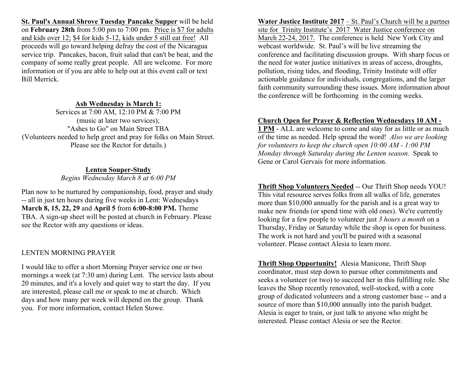**St. Paul's Annual Shrove Tuesday Pancake Supper** will be held on **February 28th** from 5:00 pm to 7:00 pm. Price is \$7 for adults and kids over 12; \$4 for kids 5-12, kids under 5 still eat free! All proceeds will go toward helping defray the cost of the Nicaragua service trip. Pancakes, bacon, fruit salad that can't be beat, and the company of some really great people. All are welcome. For more information or if you are able to help out at this event call or text Bill Merrick.

#### **Ash Wednesday is March 1:**

Services at 7:00 AM, 12:10 PM & 7:00 PM (music at later two services); "Ashes to Go" on Main Street TBA (Volunteers needed to help greet and pray for folks on Main Street. Please see the Rector for details.)

#### **Lenten Souper-Study**

*Begins Wednesday March 8 at 6:00 PM*

Plan now to be nurtured by companionship, food, prayer and study -- all in just ten hours during five weeks in Lent: Wednesdays **March 8, 15, 22, 29** and **April 5** from **6:00-8:00 PM.** Theme TBA. A sign-up sheet will be posted at church in February. Please see the Rector with any questions or ideas.

#### LENTEN MORNING PRAYER

I would like to offer a short Morning Prayer service one or two mornings a week (at 7:30 am) during Lent. The service lasts about 20 minutes, and it's a lovely and quiet way to start the day. If you are interested, please call me or speak to me at church. Which days and how many per week will depend on the group. Thank you. For more information, contact Helen Stowe.

**Water Justice Institute 2017** – St. Paul's Church will be a partner site for Trinity Institute's 2017 Water Justice conference on March 22-24, 2017. The conference is held New York City and webcast worldwide. St. Paul's will be live streaming the conference and facilitating discussion groups. With sharp focus on the need for water justice initiatives in areas of access, droughts, pollution, rising tides, and flooding, Trinity Institute will offer actionable guidance for individuals, congregations, and the larger faith community surrounding these issues. More information about the conference will be forthcoming in the coming weeks.

## **Church Open for Prayer & Reflection Wednesdays 10 AM -**

**1 PM** - ALL are welcome to come and stay for as little or as much of the time as needed. Help spread the word! *Also we are looking for volunteers to keep the church open 10:00 AM - 1:00 PM Monday through Saturday during the Lenten season.* Speak to Gene or Carol Gervais for more information.

**Thrift Shop Volunteers Needed** -- Our Thrift Shop needs YOU! This vital resource serves folks from all walks of life, generates more than \$10,000 annually for the parish and is a great way to make new friends (or spend time with old ones). We're currently looking for a few people to volunteer just *3 hours a month* on a Thursday, Friday or Saturday while the shop is open for business. The work is not hard and you'll be paired with a seasonal volunteer. Please contact Alesia to learn more.

**Thrift Shop Opportunity!** Alesia Manicone, Thrift Shop coordinator, must step down to pursue other commitments and seeks a volunteer (or two) to succeed her in this fulfilling role. She leaves the Shop recently renovated, well-stocked, with a core group of dedicated volunteers and a strong customer base -- and a source of more than \$10,000 annually into the parish budget. Alesia is eager to train, or just talk to anyone who might be interested. Please contact Alesia or see the Rector.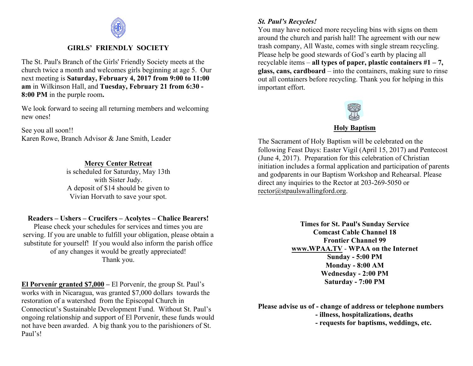

## **GIRLS' FRIENDLY SOCIETY**

The St. Paul's Branch of the Girls' Friendly Society meets at the church twice a month and welcomes girls beginning at age 5. Our next meeting is **Saturday, February 4, 2017 from 9:00 to 11:00 am** in Wilkinson Hall, and **Tuesday, February 21 from 6:30 - 8:00 PM** in the purple room**.**

We look forward to seeing all returning members and welcoming new ones!

See you all soon!! Karen Rowe, Branch Advisor & Jane Smith, Leader

#### **Mercy Center Retreat**

is scheduled for Saturday, May 13th with Sister Judy. A deposit of \$14 should be given to Vivian Horvath to save your spot.

# **Readers – Ushers – Crucifers – Acolytes – Chalice Bearers!**

Please check your schedules for services and times you are serving. If you are unable to fulfill your obligation, please obtain a substitute for yourself! If you would also inform the parish office of any changes it would be greatly appreciated! Thank you.

**El Porvenír granted \$7,000 –** El Porvenír, the group St. Paul's works with in Nicaragua, was granted \$7,000 dollars towards the restoration of a watershed from the Episcopal Church in Connecticut's Sustainable Development Fund. Without St. Paul's ongoing relationship and support of El Porvenír, these funds would not have been awarded. A big thank you to the parishioners of St. Paul's!

# *St. Paul's Recycles!*

You may have noticed more recycling bins with signs on them around the church and parish hall! The agreement with our new trash company, All Waste, comes with single stream recycling. Please help be good stewards of God's earth by placing all recyclable items – **all types of paper, plastic containers #1 – 7, glass, cans, cardboard** – into the containers, making sure to rinse out all containers before recycling. Thank you for helping in this important effort.



#### **Holy Baptism**

The Sacrament of Holy Baptism will be celebrated on the following Feast Days: Easter Vigil (April 15, 2017) and Pentecost (June 4, 2017). Preparation for this celebration of Christian initiation includes a formal application and participation of parents and godparents in our Baptism Workshop and Rehearsal. Please direct any inquiries to the Rector at 203-269-5050 or rector@stpaulswallingford.org.

> **Times for St. Paul's Sunday Service Comcast Cable Channel 18 Frontier Channel 99 www.WPAA.TV** - **WPAA on the Internet Sunday - 5:00 PM Monday - 8:00 AM Wednesday - 2:00 PM Saturday - 7:00 PM**

**Please advise us of - change of address or telephone numbers - illness, hospitalizations, deaths**

 **- requests for baptisms, weddings, etc.**